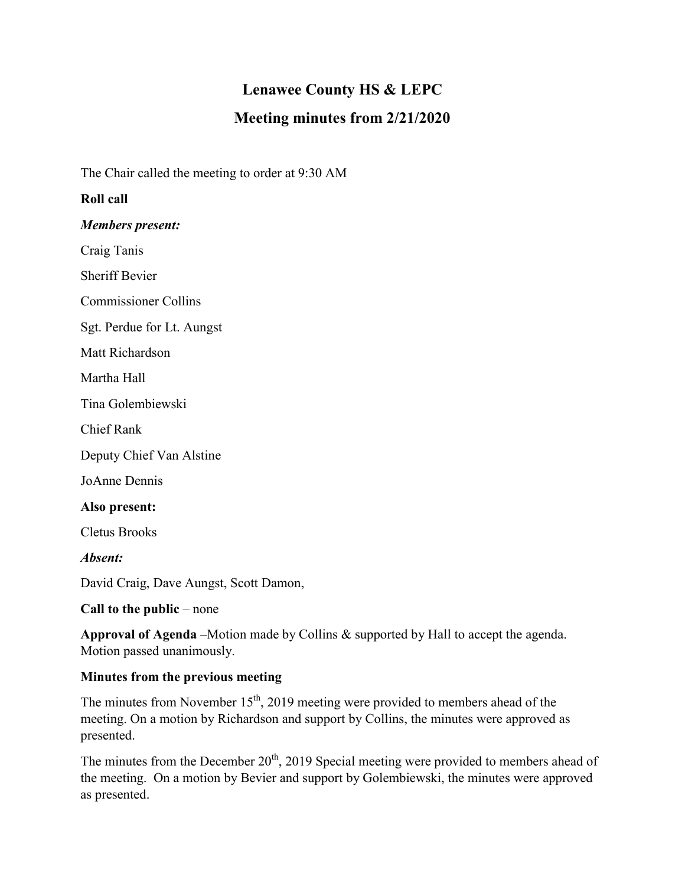# **Lenawee County HS & LEPC**

## **Meeting minutes from 2/21/2020**

The Chair called the meeting to order at 9:30 AM

## **Roll call**

#### *Members present:*

Craig Tanis

Sheriff Bevier

Commissioner Collins

Sgt. Perdue for Lt. Aungst

Matt Richardson

Martha Hall

Tina Golembiewski

Chief Rank

Deputy Chief Van Alstine

JoAnne Dennis

#### **Also present:**

Cletus Brooks

*Absent:*

David Craig, Dave Aungst, Scott Damon,

**Call to the public** – none

**Approval of Agenda** –Motion made by Collins & supported by Hall to accept the agenda. Motion passed unanimously.

### **Minutes from the previous meeting**

The minutes from November  $15<sup>th</sup>$ , 2019 meeting were provided to members ahead of the meeting. On a motion by Richardson and support by Collins, the minutes were approved as presented.

The minutes from the December  $20<sup>th</sup>$ , 2019 Special meeting were provided to members ahead of the meeting. On a motion by Bevier and support by Golembiewski, the minutes were approved as presented.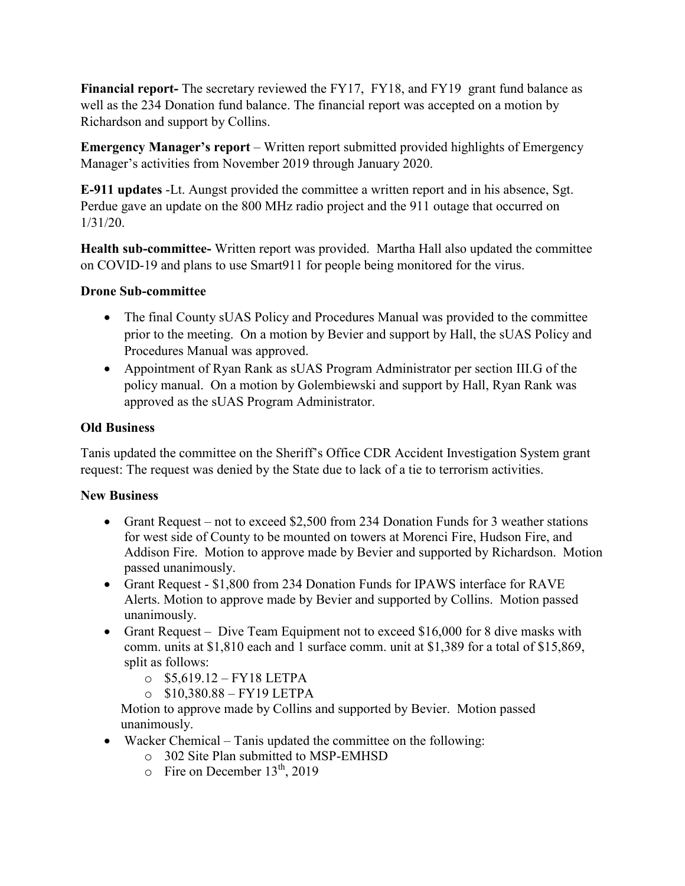**Financial report-** The secretary reviewed the FY17, FY18, and FY19 grant fund balance as well as the 234 Donation fund balance. The financial report was accepted on a motion by Richardson and support by Collins.

**Emergency Manager's report** – Written report submitted provided highlights of Emergency Manager's activities from November 2019 through January 2020.

**E-911 updates** -Lt. Aungst provided the committee a written report and in his absence, Sgt. Perdue gave an update on the 800 MHz radio project and the 911 outage that occurred on 1/31/20.

**Health sub-committee-** Written report was provided. Martha Hall also updated the committee on COVID-19 and plans to use Smart911 for people being monitored for the virus.

## **Drone Sub-committee**

- The final County sUAS Policy and Procedures Manual was provided to the committee prior to the meeting. On a motion by Bevier and support by Hall, the sUAS Policy and Procedures Manual was approved.
- Appointment of Ryan Rank as sUAS Program Administrator per section III.G of the policy manual. On a motion by Golembiewski and support by Hall, Ryan Rank was approved as the sUAS Program Administrator.

## **Old Business**

Tanis updated the committee on the Sheriff's Office CDR Accident Investigation System grant request: The request was denied by the State due to lack of a tie to terrorism activities.

## **New Business**

- Grant Request not to exceed \$2,500 from 234 Donation Funds for 3 weather stations for west side of County to be mounted on towers at Morenci Fire, Hudson Fire, and Addison Fire. Motion to approve made by Bevier and supported by Richardson. Motion passed unanimously.
- Grant Request \$1,800 from 234 Donation Funds for IPAWS interface for RAVE Alerts. Motion to approve made by Bevier and supported by Collins. Motion passed unanimously.
- Grant Request Dive Team Equipment not to exceed \$16,000 for 8 dive masks with comm. units at \$1,810 each and 1 surface comm. unit at \$1,389 for a total of \$15,869, split as follows:
	- $\circ$  \$5,619.12 FY18 LETPA
	- $O$  \$10,380.88 FY19 LETPA

 Motion to approve made by Collins and supported by Bevier. Motion passed unanimously.

- Wacker Chemical Tanis updated the committee on the following:
	- o 302 Site Plan submitted to MSP-EMHSD
	- $\circ$  Fire on December 13<sup>th</sup>, 2019